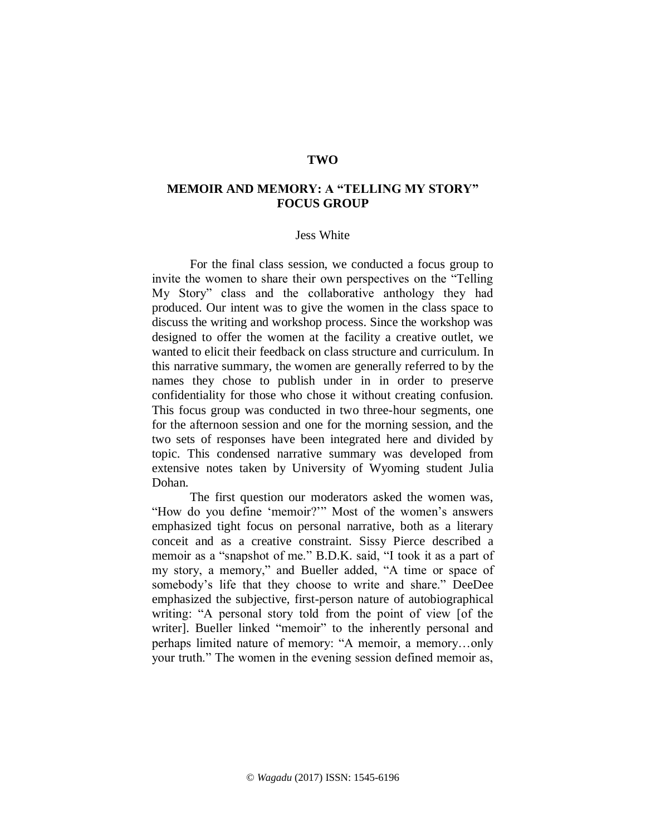## **TWO**

## **MEMOIR AND MEMORY: A "TELLING MY STORY" FOCUS GROUP**

## Jess White

For the final class session, we conducted a focus group to invite the women to share their own perspectives on the "Telling My Story" class and the collaborative anthology they had produced. Our intent was to give the women in the class space to discuss the writing and workshop process. Since the workshop was designed to offer the women at the facility a creative outlet, we wanted to elicit their feedback on class structure and curriculum. In this narrative summary, the women are generally referred to by the names they chose to publish under in in order to preserve confidentiality for those who chose it without creating confusion. This focus group was conducted in two three-hour segments, one for the afternoon session and one for the morning session, and the two sets of responses have been integrated here and divided by topic. This condensed narrative summary was developed from extensive notes taken by University of Wyoming student Julia Dohan.

The first question our moderators asked the women was, "How do you define 'memoir?'" Most of the women's answers emphasized tight focus on personal narrative, both as a literary conceit and as a creative constraint. Sissy Pierce described a memoir as a "snapshot of me." B.D.K. said, "I took it as a part of my story, a memory," and Bueller added, "A time or space of somebody's life that they choose to write and share." DeeDee emphasized the subjective, first-person nature of autobiographical writing: "A personal story told from the point of view [of the writer]. Bueller linked "memoir" to the inherently personal and perhaps limited nature of memory: "A memoir, a memory…only your truth." The women in the evening session defined memoir as,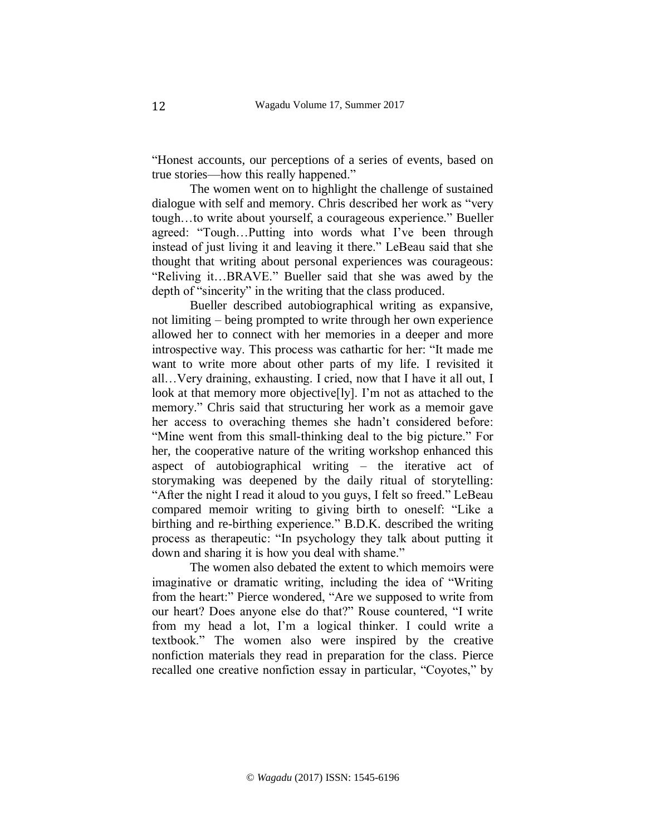"Honest accounts, our perceptions of a series of events, based on true stories—how this really happened."

The women went on to highlight the challenge of sustained dialogue with self and memory. Chris described her work as "very tough…to write about yourself, a courageous experience." Bueller agreed: "Tough…Putting into words what I've been through instead of just living it and leaving it there." LeBeau said that she thought that writing about personal experiences was courageous: "Reliving it…BRAVE." Bueller said that she was awed by the depth of "sincerity" in the writing that the class produced.

Bueller described autobiographical writing as expansive, not limiting – being prompted to write through her own experience allowed her to connect with her memories in a deeper and more introspective way. This process was cathartic for her: "It made me want to write more about other parts of my life. I revisited it all…Very draining, exhausting. I cried, now that I have it all out, I look at that memory more objective[ly]. I'm not as attached to the memory." Chris said that structuring her work as a memoir gave her access to overaching themes she hadn't considered before: "Mine went from this small-thinking deal to the big picture." For her, the cooperative nature of the writing workshop enhanced this aspect of autobiographical writing – the iterative act of storymaking was deepened by the daily ritual of storytelling: "After the night I read it aloud to you guys, I felt so freed." LeBeau compared memoir writing to giving birth to oneself: "Like a birthing and re-birthing experience." B.D.K. described the writing process as therapeutic: "In psychology they talk about putting it down and sharing it is how you deal with shame."

The women also debated the extent to which memoirs were imaginative or dramatic writing, including the idea of "Writing from the heart:" Pierce wondered, "Are we supposed to write from our heart? Does anyone else do that?" Rouse countered, "I write from my head a lot, I'm a logical thinker. I could write a textbook." The women also were inspired by the creative nonfiction materials they read in preparation for the class. Pierce recalled one creative nonfiction essay in particular, "Coyotes," by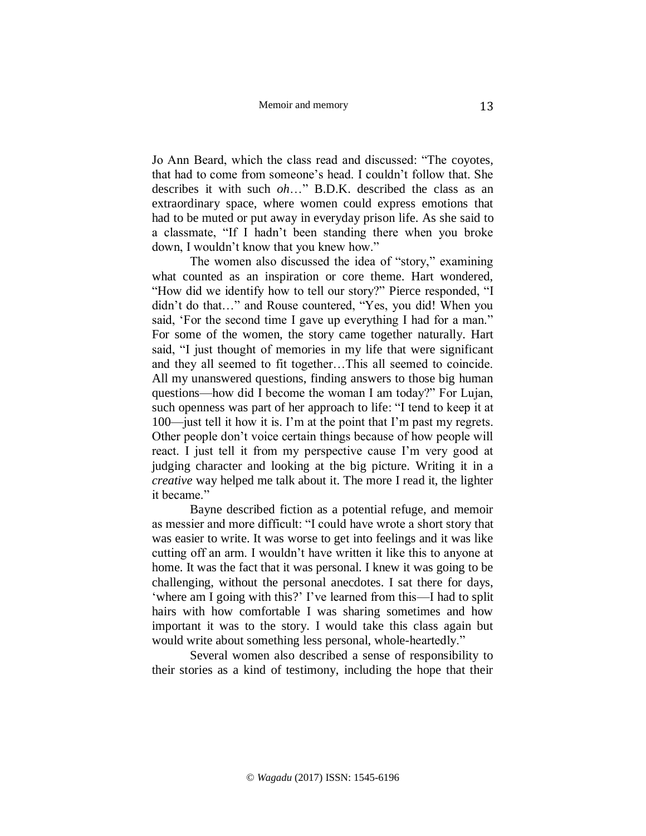Jo Ann Beard, which the class read and discussed: "The coyotes, that had to come from someone's head. I couldn't follow that. She describes it with such *oh*…" B.D.K. described the class as an extraordinary space, where women could express emotions that had to be muted or put away in everyday prison life. As she said to a classmate, "If I hadn't been standing there when you broke down, I wouldn't know that you knew how."

The women also discussed the idea of "story," examining what counted as an inspiration or core theme. Hart wondered, "How did we identify how to tell our story?" Pierce responded, "I didn't do that…" and Rouse countered, "Yes, you did! When you said, 'For the second time I gave up everything I had for a man." For some of the women, the story came together naturally. Hart said, "I just thought of memories in my life that were significant and they all seemed to fit together…This all seemed to coincide. All my unanswered questions, finding answers to those big human questions—how did I become the woman I am today?" For Lujan, such openness was part of her approach to life: "I tend to keep it at 100—just tell it how it is. I'm at the point that I'm past my regrets. Other people don't voice certain things because of how people will react. I just tell it from my perspective cause I'm very good at judging character and looking at the big picture. Writing it in a *creative* way helped me talk about it. The more I read it, the lighter it became."

Bayne described fiction as a potential refuge, and memoir as messier and more difficult: "I could have wrote a short story that was easier to write. It was worse to get into feelings and it was like cutting off an arm. I wouldn't have written it like this to anyone at home. It was the fact that it was personal. I knew it was going to be challenging, without the personal anecdotes. I sat there for days, 'where am I going with this?' I've learned from this—I had to split hairs with how comfortable I was sharing sometimes and how important it was to the story. I would take this class again but would write about something less personal, whole-heartedly."

Several women also described a sense of responsibility to their stories as a kind of testimony, including the hope that their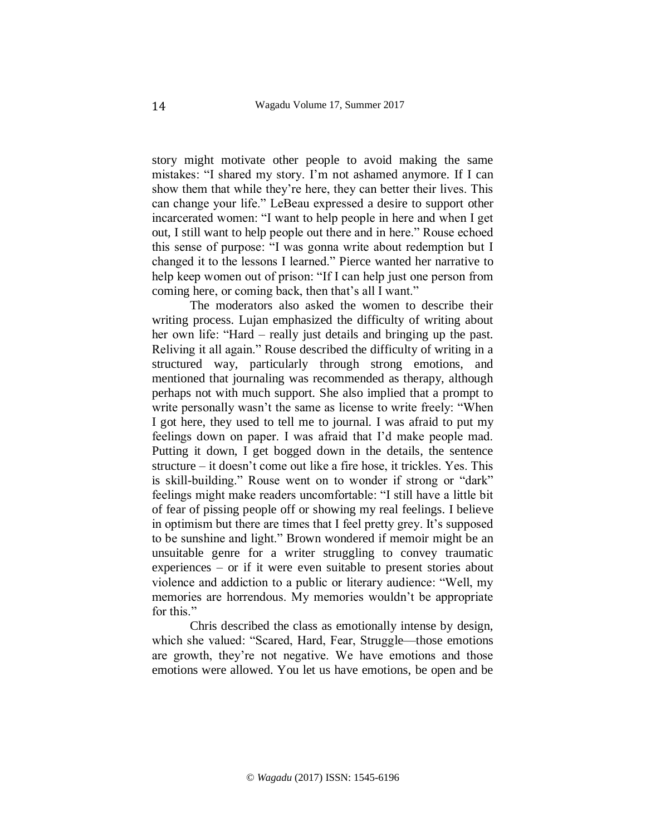story might motivate other people to avoid making the same mistakes: "I shared my story. I'm not ashamed anymore. If I can show them that while they're here, they can better their lives. This can change your life." LeBeau expressed a desire to support other incarcerated women: "I want to help people in here and when I get out, I still want to help people out there and in here." Rouse echoed this sense of purpose: "I was gonna write about redemption but I changed it to the lessons I learned." Pierce wanted her narrative to help keep women out of prison: "If I can help just one person from coming here, or coming back, then that's all I want."

The moderators also asked the women to describe their writing process. Lujan emphasized the difficulty of writing about her own life: "Hard – really just details and bringing up the past. Reliving it all again." Rouse described the difficulty of writing in a structured way, particularly through strong emotions, and mentioned that journaling was recommended as therapy, although perhaps not with much support. She also implied that a prompt to write personally wasn't the same as license to write freely: "When I got here, they used to tell me to journal. I was afraid to put my feelings down on paper. I was afraid that I'd make people mad. Putting it down, I get bogged down in the details, the sentence structure – it doesn't come out like a fire hose, it trickles. Yes. This is skill-building." Rouse went on to wonder if strong or "dark" feelings might make readers uncomfortable: "I still have a little bit of fear of pissing people off or showing my real feelings. I believe in optimism but there are times that I feel pretty grey. It's supposed to be sunshine and light." Brown wondered if memoir might be an unsuitable genre for a writer struggling to convey traumatic experiences – or if it were even suitable to present stories about violence and addiction to a public or literary audience: "Well, my memories are horrendous. My memories wouldn't be appropriate for this."

Chris described the class as emotionally intense by design, which she valued: "Scared, Hard, Fear, Struggle—those emotions are growth, they're not negative. We have emotions and those emotions were allowed. You let us have emotions, be open and be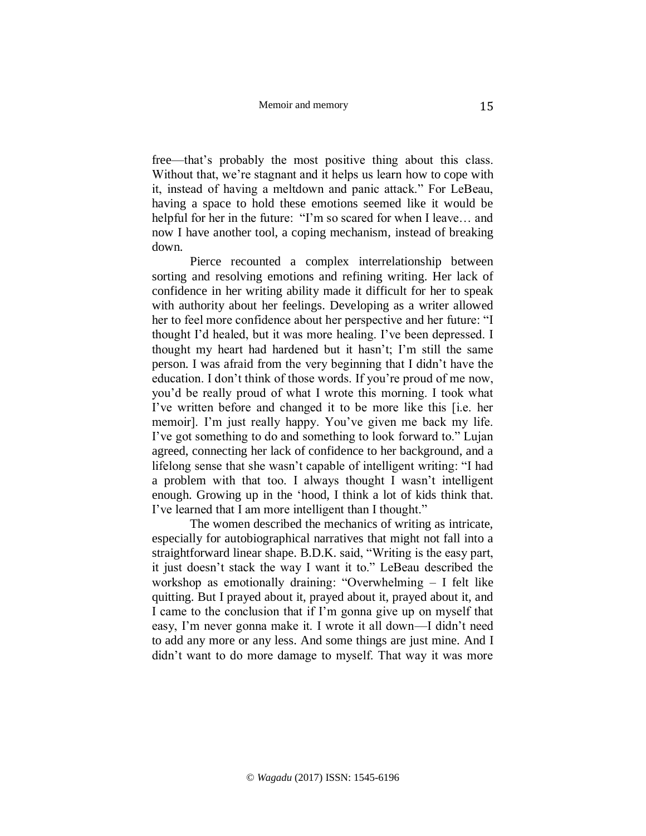free—that's probably the most positive thing about this class. Without that, we're stagnant and it helps us learn how to cope with it, instead of having a meltdown and panic attack." For LeBeau, having a space to hold these emotions seemed like it would be helpful for her in the future: "I'm so scared for when I leave... and now I have another tool, a coping mechanism, instead of breaking down.

Pierce recounted a complex interrelationship between sorting and resolving emotions and refining writing. Her lack of confidence in her writing ability made it difficult for her to speak with authority about her feelings. Developing as a writer allowed her to feel more confidence about her perspective and her future: "I thought I'd healed, but it was more healing. I've been depressed. I thought my heart had hardened but it hasn't; I'm still the same person. I was afraid from the very beginning that I didn't have the education. I don't think of those words. If you're proud of me now, you'd be really proud of what I wrote this morning. I took what I've written before and changed it to be more like this [i.e. her memoir]. I'm just really happy. You've given me back my life. I've got something to do and something to look forward to." Lujan agreed, connecting her lack of confidence to her background, and a lifelong sense that she wasn't capable of intelligent writing: "I had a problem with that too. I always thought I wasn't intelligent enough. Growing up in the 'hood, I think a lot of kids think that. I've learned that I am more intelligent than I thought."

The women described the mechanics of writing as intricate, especially for autobiographical narratives that might not fall into a straightforward linear shape. B.D.K. said, "Writing is the easy part, it just doesn't stack the way I want it to." LeBeau described the workshop as emotionally draining: "Overwhelming – I felt like quitting. But I prayed about it, prayed about it, prayed about it, and I came to the conclusion that if I'm gonna give up on myself that easy, I'm never gonna make it. I wrote it all down—I didn't need to add any more or any less. And some things are just mine. And I didn't want to do more damage to myself. That way it was more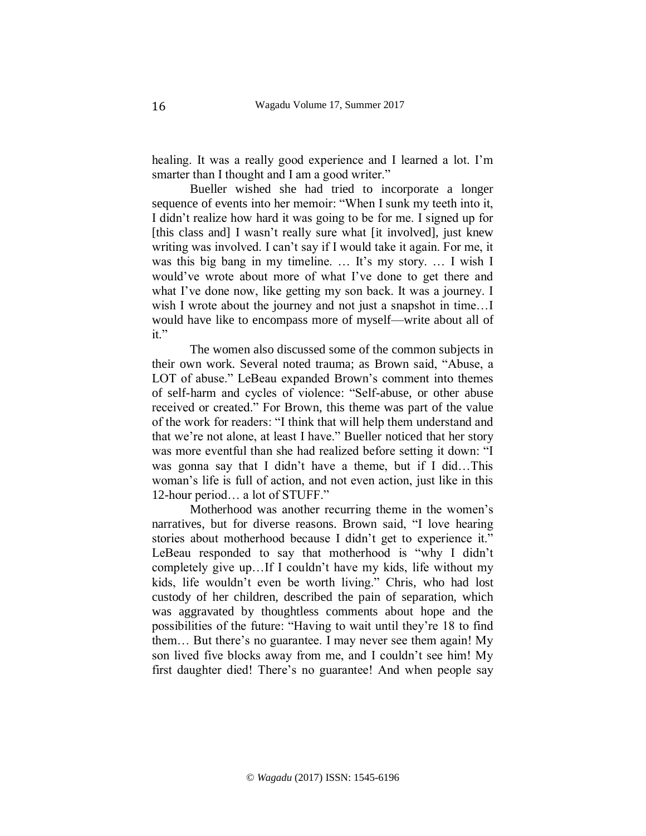healing. It was a really good experience and I learned a lot. I'm smarter than I thought and I am a good writer."

Bueller wished she had tried to incorporate a longer sequence of events into her memoir: "When I sunk my teeth into it, I didn't realize how hard it was going to be for me. I signed up for [this class and] I wasn't really sure what [it involved], just knew writing was involved. I can't say if I would take it again. For me, it was this big bang in my timeline. ... It's my story. ... I wish I would've wrote about more of what I've done to get there and what I've done now, like getting my son back. It was a journey. I wish I wrote about the journey and not just a snapshot in time…I would have like to encompass more of myself—write about all of it."

The women also discussed some of the common subjects in their own work. Several noted trauma; as Brown said, "Abuse, a LOT of abuse." LeBeau expanded Brown's comment into themes of self-harm and cycles of violence: "Self-abuse, or other abuse received or created." For Brown, this theme was part of the value of the work for readers: "I think that will help them understand and that we're not alone, at least I have." Bueller noticed that her story was more eventful than she had realized before setting it down: "I was gonna say that I didn't have a theme, but if I did…This woman's life is full of action, and not even action, just like in this 12-hour period… a lot of STUFF."

Motherhood was another recurring theme in the women's narratives, but for diverse reasons. Brown said, "I love hearing stories about motherhood because I didn't get to experience it." LeBeau responded to say that motherhood is "why I didn't completely give up…If I couldn't have my kids, life without my kids, life wouldn't even be worth living." Chris, who had lost custody of her children, described the pain of separation, which was aggravated by thoughtless comments about hope and the possibilities of the future: "Having to wait until they're 18 to find them… But there's no guarantee. I may never see them again! My son lived five blocks away from me, and I couldn't see him! My first daughter died! There's no guarantee! And when people say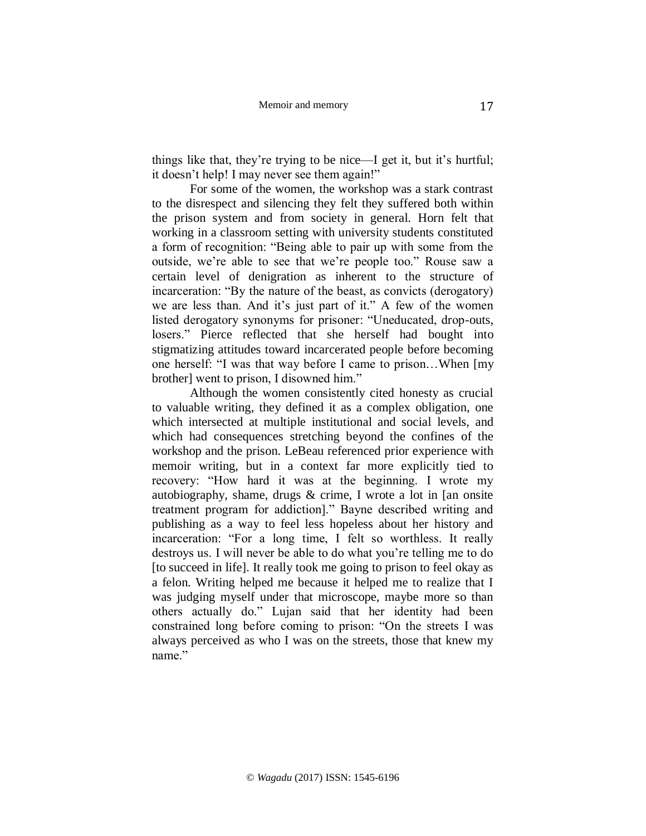things like that, they're trying to be nice—I get it, but it's hurtful; it doesn't help! I may never see them again!"

For some of the women, the workshop was a stark contrast to the disrespect and silencing they felt they suffered both within the prison system and from society in general. Horn felt that working in a classroom setting with university students constituted a form of recognition: "Being able to pair up with some from the outside, we're able to see that we're people too." Rouse saw a certain level of denigration as inherent to the structure of incarceration: "By the nature of the beast, as convicts (derogatory) we are less than. And it's just part of it." A few of the women listed derogatory synonyms for prisoner: "Uneducated, drop-outs, losers." Pierce reflected that she herself had bought into stigmatizing attitudes toward incarcerated people before becoming one herself: "I was that way before I came to prison…When [my brother] went to prison, I disowned him."

Although the women consistently cited honesty as crucial to valuable writing, they defined it as a complex obligation, one which intersected at multiple institutional and social levels, and which had consequences stretching beyond the confines of the workshop and the prison. LeBeau referenced prior experience with memoir writing, but in a context far more explicitly tied to recovery: "How hard it was at the beginning. I wrote my autobiography, shame, drugs & crime, I wrote a lot in [an onsite treatment program for addiction]." Bayne described writing and publishing as a way to feel less hopeless about her history and incarceration: "For a long time, I felt so worthless. It really destroys us. I will never be able to do what you're telling me to do [to succeed in life]. It really took me going to prison to feel okay as a felon. Writing helped me because it helped me to realize that I was judging myself under that microscope, maybe more so than others actually do." Lujan said that her identity had been constrained long before coming to prison: "On the streets I was always perceived as who I was on the streets, those that knew my name"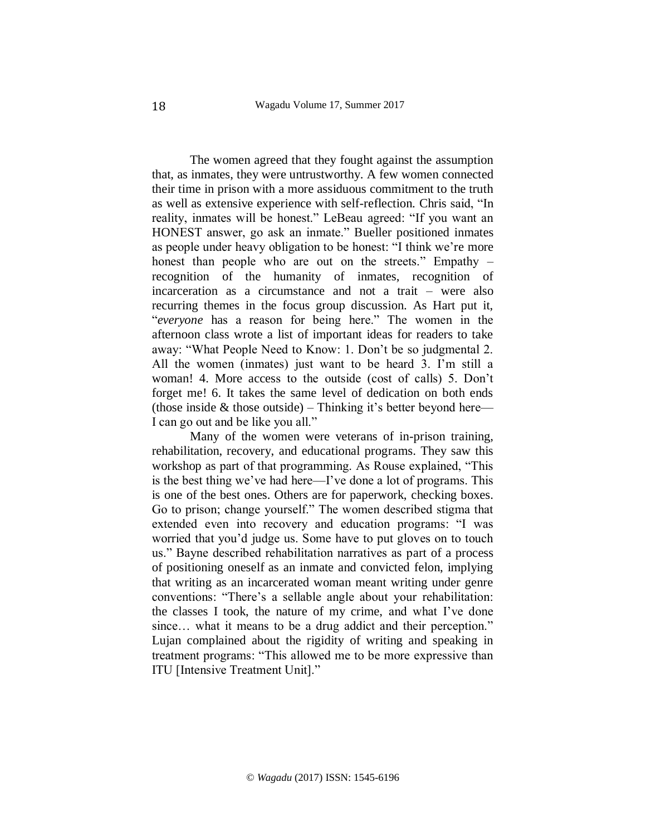The women agreed that they fought against the assumption that, as inmates, they were untrustworthy. A few women connected their time in prison with a more assiduous commitment to the truth as well as extensive experience with self-reflection. Chris said, "In reality, inmates will be honest." LeBeau agreed: "If you want an HONEST answer, go ask an inmate." Bueller positioned inmates as people under heavy obligation to be honest: "I think we're more honest than people who are out on the streets." Empathy – recognition of the humanity of inmates, recognition of incarceration as a circumstance and not a trait – were also recurring themes in the focus group discussion. As Hart put it, "*everyone* has a reason for being here." The women in the afternoon class wrote a list of important ideas for readers to take away: "What People Need to Know: 1. Don't be so judgmental 2. All the women (inmates) just want to be heard 3. I'm still a woman! 4. More access to the outside (cost of calls) 5. Don't forget me! 6. It takes the same level of dedication on both ends (those inside  $&$  those outside) – Thinking it's better beyond here— I can go out and be like you all."

Many of the women were veterans of in-prison training, rehabilitation, recovery, and educational programs. They saw this workshop as part of that programming. As Rouse explained, "This is the best thing we've had here—I've done a lot of programs. This is one of the best ones. Others are for paperwork, checking boxes. Go to prison; change yourself." The women described stigma that extended even into recovery and education programs: "I was worried that you'd judge us. Some have to put gloves on to touch us." Bayne described rehabilitation narratives as part of a process of positioning oneself as an inmate and convicted felon, implying that writing as an incarcerated woman meant writing under genre conventions: "There's a sellable angle about your rehabilitation: the classes I took, the nature of my crime, and what I've done since... what it means to be a drug addict and their perception." Lujan complained about the rigidity of writing and speaking in treatment programs: "This allowed me to be more expressive than ITU [Intensive Treatment Unit]."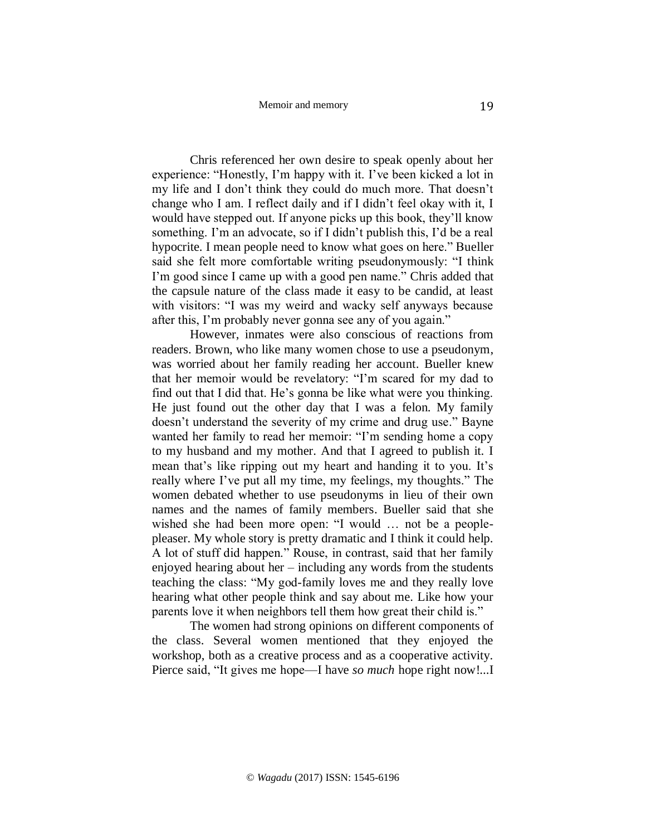Chris referenced her own desire to speak openly about her experience: "Honestly, I'm happy with it. I've been kicked a lot in my life and I don't think they could do much more. That doesn't change who I am. I reflect daily and if I didn't feel okay with it, I would have stepped out. If anyone picks up this book, they'll know something. I'm an advocate, so if I didn't publish this, I'd be a real hypocrite. I mean people need to know what goes on here." Bueller said she felt more comfortable writing pseudonymously: "I think I'm good since I came up with a good pen name." Chris added that the capsule nature of the class made it easy to be candid, at least with visitors: "I was my weird and wacky self anyways because after this, I'm probably never gonna see any of you again."

However, inmates were also conscious of reactions from readers. Brown, who like many women chose to use a pseudonym, was worried about her family reading her account. Bueller knew that her memoir would be revelatory: "I'm scared for my dad to find out that I did that. He's gonna be like what were you thinking. He just found out the other day that I was a felon. My family doesn't understand the severity of my crime and drug use." Bayne wanted her family to read her memoir: "I'm sending home a copy to my husband and my mother. And that I agreed to publish it. I mean that's like ripping out my heart and handing it to you. It's really where I've put all my time, my feelings, my thoughts." The women debated whether to use pseudonyms in lieu of their own names and the names of family members. Bueller said that she wished she had been more open: "I would … not be a peoplepleaser. My whole story is pretty dramatic and I think it could help. A lot of stuff did happen." Rouse, in contrast, said that her family enjoyed hearing about her – including any words from the students teaching the class: "My god-family loves me and they really love hearing what other people think and say about me. Like how your parents love it when neighbors tell them how great their child is."

The women had strong opinions on different components of the class. Several women mentioned that they enjoyed the workshop, both as a creative process and as a cooperative activity. Pierce said, "It gives me hope—I have *so much* hope right now!...I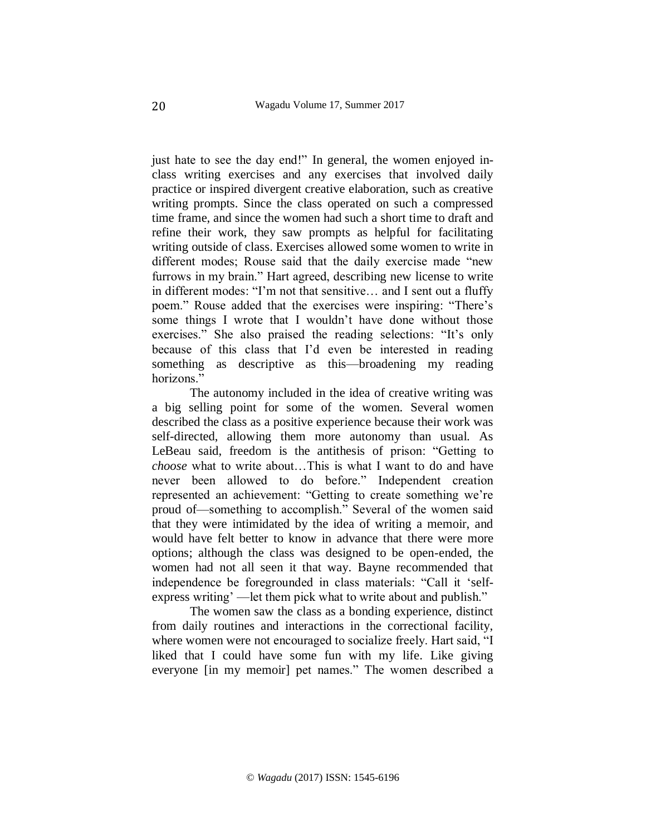just hate to see the day end!" In general, the women enjoyed inclass writing exercises and any exercises that involved daily practice or inspired divergent creative elaboration, such as creative writing prompts. Since the class operated on such a compressed time frame, and since the women had such a short time to draft and refine their work, they saw prompts as helpful for facilitating writing outside of class. Exercises allowed some women to write in different modes; Rouse said that the daily exercise made "new furrows in my brain." Hart agreed, describing new license to write in different modes: "I'm not that sensitive… and I sent out a fluffy poem." Rouse added that the exercises were inspiring: "There's some things I wrote that I wouldn't have done without those exercises." She also praised the reading selections: "It's only because of this class that I'd even be interested in reading something as descriptive as this—broadening my reading horizons."

The autonomy included in the idea of creative writing was a big selling point for some of the women. Several women described the class as a positive experience because their work was self-directed, allowing them more autonomy than usual. As LeBeau said, freedom is the antithesis of prison: "Getting to *choose* what to write about…This is what I want to do and have never been allowed to do before." Independent creation represented an achievement: "Getting to create something we're proud of—something to accomplish." Several of the women said that they were intimidated by the idea of writing a memoir, and would have felt better to know in advance that there were more options; although the class was designed to be open-ended, the women had not all seen it that way. Bayne recommended that independence be foregrounded in class materials: "Call it 'selfexpress writing' —let them pick what to write about and publish."

The women saw the class as a bonding experience, distinct from daily routines and interactions in the correctional facility, where women were not encouraged to socialize freely. Hart said, "I liked that I could have some fun with my life. Like giving everyone [in my memoir] pet names." The women described a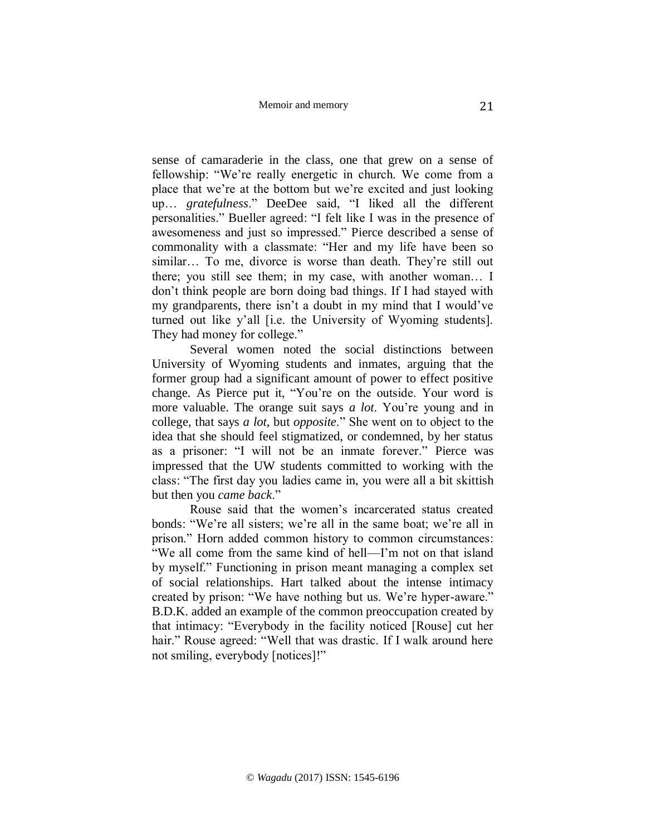sense of camaraderie in the class, one that grew on a sense of fellowship: "We're really energetic in church. We come from a place that we're at the bottom but we're excited and just looking up… *gratefulness*." DeeDee said, "I liked all the different personalities." Bueller agreed: "I felt like I was in the presence of awesomeness and just so impressed." Pierce described a sense of commonality with a classmate: "Her and my life have been so similar... To me, divorce is worse than death. They're still out there; you still see them; in my case, with another woman… I don't think people are born doing bad things. If I had stayed with my grandparents, there isn't a doubt in my mind that I would've turned out like y'all [i.e. the University of Wyoming students]. They had money for college."

Several women noted the social distinctions between University of Wyoming students and inmates, arguing that the former group had a significant amount of power to effect positive change. As Pierce put it, "You're on the outside. Your word is more valuable. The orange suit says *a lot*. You're young and in college, that says *a lot*, but *opposite*." She went on to object to the idea that she should feel stigmatized, or condemned, by her status as a prisoner: "I will not be an inmate forever." Pierce was impressed that the UW students committed to working with the class: "The first day you ladies came in, you were all a bit skittish but then you *came back*."

Rouse said that the women's incarcerated status created bonds: "We're all sisters; we're all in the same boat; we're all in prison." Horn added common history to common circumstances: "We all come from the same kind of hell—I'm not on that island by myself." Functioning in prison meant managing a complex set of social relationships. Hart talked about the intense intimacy created by prison: "We have nothing but us. We're hyper-aware." B.D.K. added an example of the common preoccupation created by that intimacy: "Everybody in the facility noticed [Rouse] cut her hair." Rouse agreed: "Well that was drastic. If I walk around here not smiling, everybody [notices]!"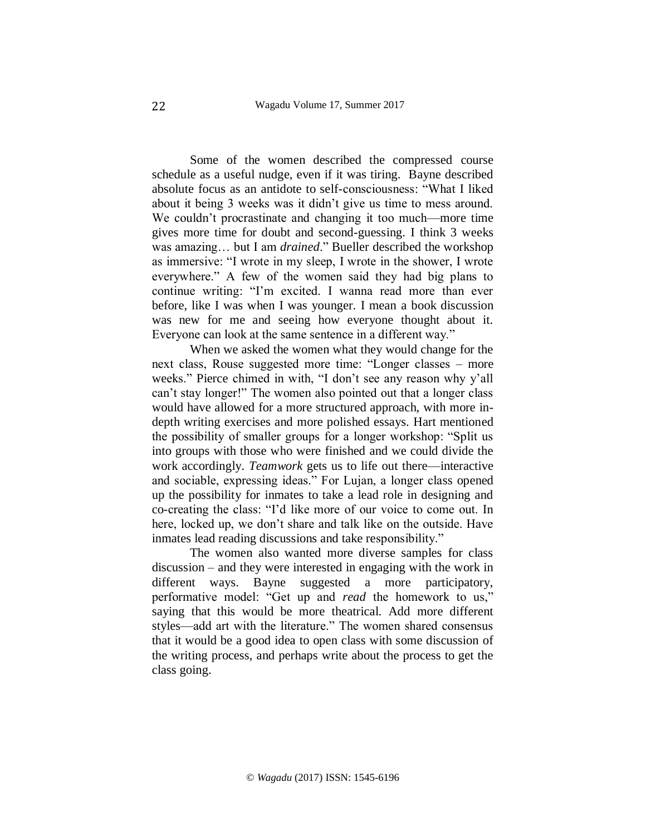Some of the women described the compressed course schedule as a useful nudge, even if it was tiring. Bayne described absolute focus as an antidote to self-consciousness: "What I liked about it being 3 weeks was it didn't give us time to mess around. We couldn't procrastinate and changing it too much—more time gives more time for doubt and second-guessing. I think 3 weeks was amazing… but I am *drained*." Bueller described the workshop as immersive: "I wrote in my sleep, I wrote in the shower, I wrote everywhere." A few of the women said they had big plans to continue writing: "I'm excited. I wanna read more than ever before, like I was when I was younger. I mean a book discussion was new for me and seeing how everyone thought about it. Everyone can look at the same sentence in a different way."

When we asked the women what they would change for the next class, Rouse suggested more time: "Longer classes – more weeks." Pierce chimed in with, "I don't see any reason why y'all can't stay longer!" The women also pointed out that a longer class would have allowed for a more structured approach, with more indepth writing exercises and more polished essays. Hart mentioned the possibility of smaller groups for a longer workshop: "Split us into groups with those who were finished and we could divide the work accordingly. *Teamwork* gets us to life out there—interactive and sociable, expressing ideas." For Lujan, a longer class opened up the possibility for inmates to take a lead role in designing and co-creating the class: "I'd like more of our voice to come out. In here, locked up, we don't share and talk like on the outside. Have inmates lead reading discussions and take responsibility."

The women also wanted more diverse samples for class discussion – and they were interested in engaging with the work in different ways. Bayne suggested a more participatory, performative model: "Get up and *read* the homework to us," saying that this would be more theatrical. Add more different styles—add art with the literature." The women shared consensus that it would be a good idea to open class with some discussion of the writing process, and perhaps write about the process to get the class going.